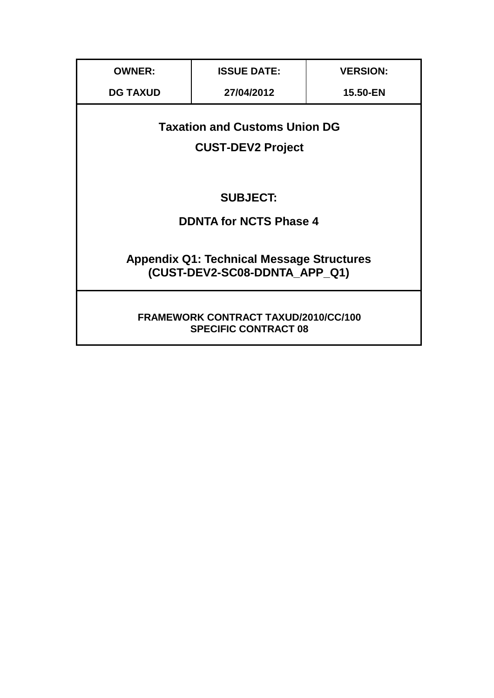| <b>OWNER:</b>                                                                     | <b>ISSUE DATE:</b> | <b>VERSION:</b> |  |
|-----------------------------------------------------------------------------------|--------------------|-----------------|--|
| <b>DG TAXUD</b>                                                                   | 27/04/2012         | 15.50-EN        |  |
| <b>Taxation and Customs Union DG</b><br><b>CUST-DEV2 Project</b>                  |                    |                 |  |
| <b>SUBJECT:</b>                                                                   |                    |                 |  |
| <b>DDNTA for NCTS Phase 4</b>                                                     |                    |                 |  |
| <b>Appendix Q1: Technical Message Structures</b><br>(CUST-DEV2-SC08-DDNTA APP Q1) |                    |                 |  |
| <b>FRAMEWORK CONTRACT TAXUD/2010/CC/100</b><br><b>SPECIFIC CONTRACT 08</b>        |                    |                 |  |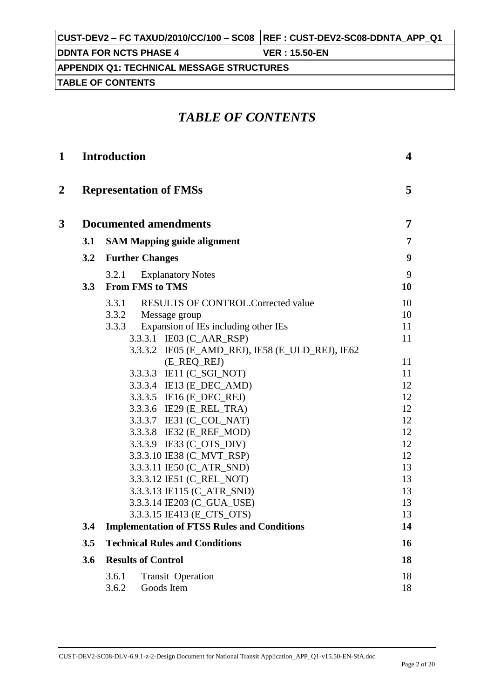| CUST-DEV2 – FC TAXUD/2010/CC/100 – SC08  REF : CUST-DEV2-SC08-DDNTA APP Q1 |                        |  |
|----------------------------------------------------------------------------|------------------------|--|
| <b>IDDNTA FOR NCTS PHASE 4</b>                                             | <b>IVER : 15.50-EN</b> |  |
| <b>APPENDIX Q1: TECHNICAL MESSAGE STRUCTURES</b>                           |                        |  |
| <b>ITABLE OF CONTENTS</b>                                                  |                        |  |

## *TABLE OF CONTENTS*

| 1              |     | <b>Introduction</b>                                         | 4              |
|----------------|-----|-------------------------------------------------------------|----------------|
| $\overline{2}$ |     | <b>Representation of FMSs</b>                               | 5              |
| 3              |     | <b>Documented amendments</b>                                | $\overline{7}$ |
|                | 3.1 | <b>SAM Mapping guide alignment</b>                          | 7              |
|                | 3.2 | <b>Further Changes</b>                                      | 9              |
|                | 3.3 | 3.2.1<br><b>Explanatory Notes</b><br><b>From FMS to TMS</b> | 9<br>10        |
|                |     | 3.3.1<br><b>RESULTS OF CONTROL. Corrected value</b>         | 10             |
|                |     | 3.3.2 Message group                                         | 10             |
|                |     | Expansion of IEs including other IEs<br>3.3.3               | 11             |
|                |     | 3.3.3.1 IE03 (C_AAR_RSP)                                    | 11             |
|                |     | 3.3.3.2 IE05 (E_AMD_REJ), IE58 (E_ULD_REJ), IE62            |                |
|                |     | (E_REQ_REJ)                                                 | 11             |
|                |     | 3.3.3.3 IE11 (C_SGI_NOT)                                    | 11             |
|                |     | 3.3.3.4 IE13 (E_DEC_AMD)                                    | 12             |
|                |     | 3.3.3.5 IE16 (E_DEC_REJ)<br>3.3.3.6 IE29 (E_REL_TRA)        | 12<br>12       |
|                |     | 3.3.3.7 IE31 (C_COL_NAT)                                    | 12             |
|                |     | 3.3.3.8 IE32 (E_REF_MOD)                                    | 12             |
|                |     | 3.3.3.9 IE33 (C_OTS_DIV)                                    | 12             |
|                |     | 3.3.3.10 IE38 (C_MVT_RSP)                                   | 12             |
|                |     | 3.3.3.11 IE50 (C_ATR_SND)                                   | 13             |
|                |     | 3.3.3.12 IE51 (C_REL_NOT)                                   | 13             |
|                |     | 3.3.3.13 IE115 (C_ATR_SND)                                  | 13             |
|                |     | 3.3.3.14 IE203 (C_GUA_USE)                                  | 13             |
|                |     | 3.3.3.15 IE413 (E_CTS_OTS)                                  | 13             |
|                | 3.4 | <b>Implementation of FTSS Rules and Conditions</b>          | 14             |
|                | 3.5 | <b>Technical Rules and Conditions</b>                       | 16             |
|                | 3.6 | <b>Results of Control</b>                                   | 18             |
|                |     | 3.6.1<br><b>Transit Operation</b>                           | 18             |
|                |     | 3.6.2<br>Goods Item                                         | 18             |
|                |     |                                                             |                |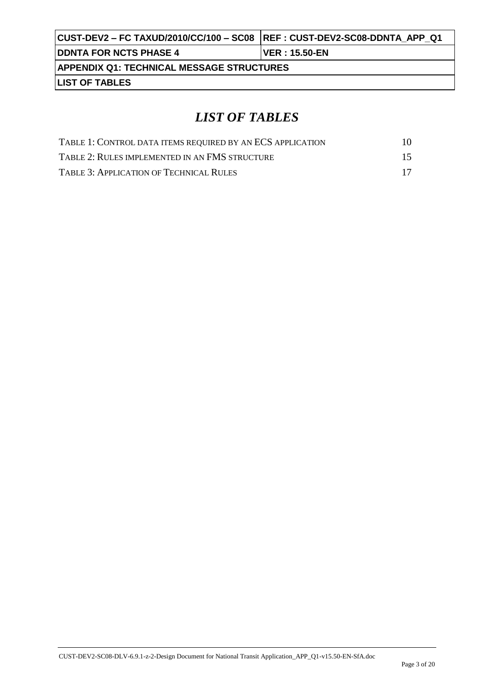| CUST-DEV2 – FC TAXUD/2010/CC/100 – SC08   REF : CUST-DEV2-SC08-DDNTA  APP  Q1 |                        |
|-------------------------------------------------------------------------------|------------------------|
| <b>IDDNTA FOR NCTS PHASE 4</b>                                                | <b>IVER : 15.50-EN</b> |
| <b>APPENDIX Q1: TECHNICAL MESSAGE STRUCTURES</b>                              |                        |
| <b>LIST OF TABLES</b>                                                         |                        |

# *LIST OF TABLES*

| TABLE 1: CONTROL DATA ITEMS REQUIRED BY AN ECS APPLICATION | 10 |
|------------------------------------------------------------|----|
| TABLE 2: RULES IMPLEMENTED IN AN FMS STRUCTURE             | 15 |
| TABLE 3: APPLICATION OF TECHNICAL RULES                    | 17 |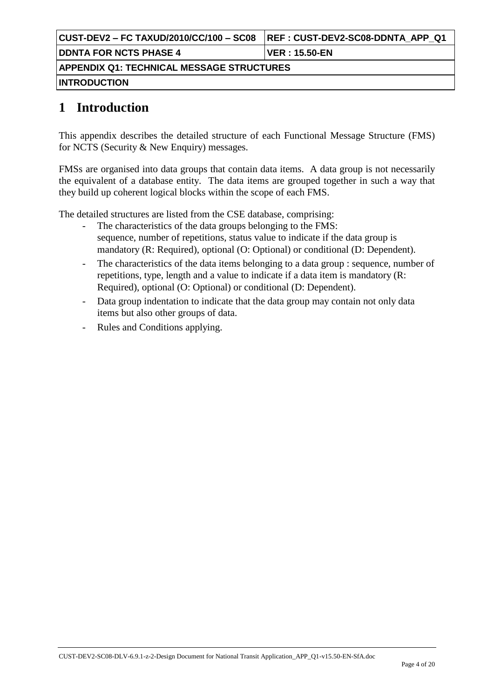|                                                  | <b>REF: CUST-DEV2-SC08-DDNTA APP Q1</b> |  |
|--------------------------------------------------|-----------------------------------------|--|
| <b>DDNTA FOR NCTS PHASE 4</b>                    | VER : 15.50-EN                          |  |
| <b>APPENDIX Q1: TECHNICAL MESSAGE STRUCTURES</b> |                                         |  |
| <b>INTRODUCTION</b>                              |                                         |  |

## **1 Introduction**

This appendix describes the detailed structure of each Functional Message Structure (FMS) for NCTS (Security & New Enquiry) messages.

FMSs are organised into data groups that contain data items. A data group is not necessarily the equivalent of a database entity. The data items are grouped together in such a way that they build up coherent logical blocks within the scope of each FMS.

The detailed structures are listed from the CSE database, comprising:

- The characteristics of the data groups belonging to the FMS: sequence, number of repetitions, status value to indicate if the data group is mandatory (R: Required), optional (O: Optional) or conditional (D: Dependent).
- The characteristics of the data items belonging to a data group : sequence, number of repetitions, type, length and a value to indicate if a data item is mandatory (R: Required), optional (O: Optional) or conditional (D: Dependent).
- Data group indentation to indicate that the data group may contain not only data items but also other groups of data.
- Rules and Conditions applying.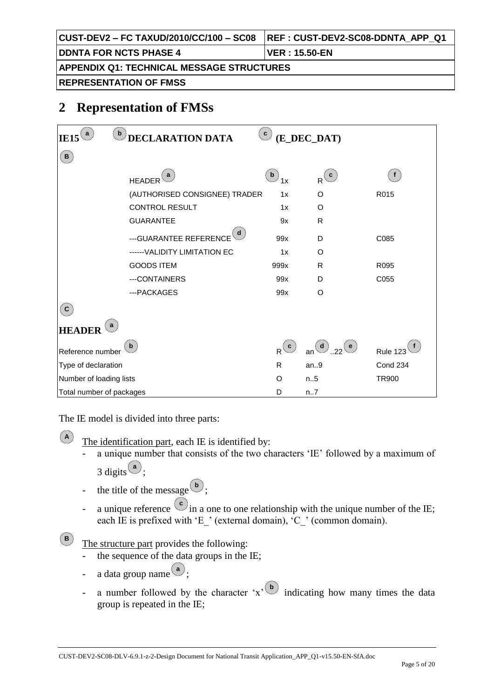|                                                  | <b>REF: CUST-DEV2-SC08-DDNTA APP Q1</b> |  |
|--------------------------------------------------|-----------------------------------------|--|
| <b>DDNTA FOR NCTS PHASE 4</b>                    | VER : 15.50-EN                          |  |
| <b>APPENDIX Q1: TECHNICAL MESSAGE STRUCTURES</b> |                                         |  |
| <b>REPRESENTATION OF FMSS</b>                    |                                         |  |

## **2 Representation of FMSs**

| a<br><b>IE15</b>         | $\mathbf b$<br><b>DECLARATION DATA</b> | $\mathbf{c}$                                                  | (E_DEC_DAT)                   |                 |
|--------------------------|----------------------------------------|---------------------------------------------------------------|-------------------------------|-----------------|
| (B)                      |                                        |                                                               |                               |                 |
|                          | a<br><b>HEADER</b>                     | $\mathbf{b}$<br>1x                                            | $R$ <sup>(c)</sup>            | f               |
|                          | (AUTHORISED CONSIGNEE) TRADER          | 1x                                                            | O                             | R015            |
|                          | <b>CONTROL RESULT</b>                  | 1x                                                            | O                             |                 |
|                          | <b>GUARANTEE</b>                       | 9x                                                            | $\mathsf{R}$                  |                 |
|                          | d<br>--- GUARANTEE REFERENCE           | 99x                                                           | D                             | C085            |
|                          | ------ VALIDITY LIMITATION EC          | 1x                                                            | O                             |                 |
|                          | <b>GOODS ITEM</b>                      | 999x                                                          | R                             | R095            |
|                          | ---CONTAINERS                          | 99x                                                           | D                             | C055            |
|                          | ---PACKAGES                            | 99x                                                           | O                             |                 |
| $\mathbf c$              |                                        |                                                               |                               |                 |
| <b>HEADER</b>            |                                        |                                                               |                               |                 |
| Reference number         | $\mathbf{b}$                           | $\left( \begin{array}{c} \texttt{c} \end{array} \right)$<br>R | an $\bigcirc$ 22<br>$($ e $)$ | <b>Rule 123</b> |
| Type of declaration      |                                        | $\mathsf{R}$                                                  | an.9                          | Cond 234        |
| Number of loading lists  |                                        | $\circ$                                                       | n.5                           | <b>TR900</b>    |
| Total number of packages |                                        | D                                                             | n7                            |                 |

The IE model is divided into three parts:

**A**

**B**

The identification part, each IE is identified by:

- a unique number that consists of the two characters 'IE' followed by a maximum of 3 digits  $\left( \frac{a}{a} \right)$ ;
- the title of the message  $\begin{pmatrix} \mathbf{b} \\ \mathbf{c} \end{pmatrix}$ ;
- a unique reference  $\left(\begin{array}{c} c \\ c \end{array}\right)$  in a one to one relationship with the unique number of the IE; each IE is prefixed with 'E ' (external domain), 'C ' (common domain).

The structure part provides the following:

- the sequence of the data groups in the IE;
- a data group name  $\begin{pmatrix} a \\ c \end{pmatrix}$ ;
- a number followed by the character  $x^{\prime}$   $\overset{(b)}{\bullet}$  indicating how many times the data group is repeated in the IE;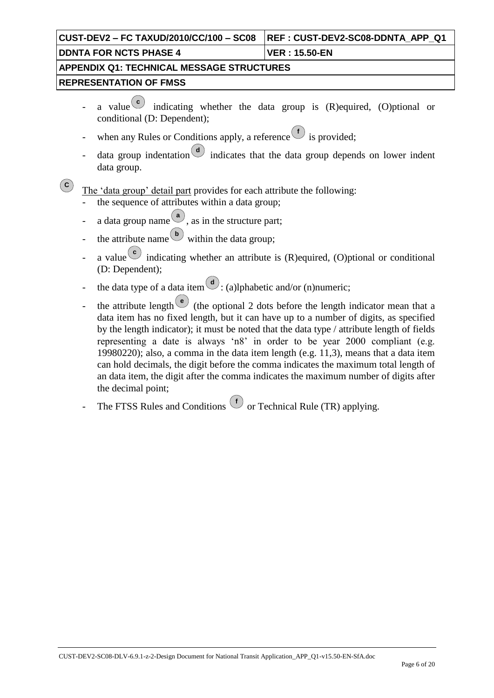| CUST-DEV2 – FC TAXUD/2010/CC/100 – SC08          | <b>REF: CUST-DEV2-SC08-DDNTA APP Q1</b> |  |
|--------------------------------------------------|-----------------------------------------|--|
| <b>DDNTA FOR NCTS PHASE 4</b>                    | ∣VER : 15.50-EN                         |  |
| <b>APPENDIX Q1: TECHNICAL MESSAGE STRUCTURES</b> |                                         |  |
| <b>IREPRESENTATION OF FMSS</b>                   |                                         |  |
|                                                  |                                         |  |

- a value<sup>c</sup> indicating whether the data group is (R)equired, (O)ptional or conditional (D: Dependent);
- when any Rules or Conditions apply, a reference is provided;
- data group indentation  $\begin{pmatrix} d \\ d \end{pmatrix}$  indicates that the data group depends on lower indent data group.

 $\left( \mathbf{c}\right)$ The 'data group' detail part provides for each attribute the following:

- the sequence of attributes within a data group;
- $\alpha$  a data group name  $\left( \frac{a}{a} \right)$ , as in the structure part;
- the attribute name  $\overset{(b)}{\bigcirc}$  within the data group;
- a value  $\epsilon$  indicating whether an attribute is (R) equired, (O) ptional or conditional (D: Dependent);
- the data type of a data item  $\mathcal{L}$ : (a)lphabetic and/or (n)numeric;
- the attribute length  $\left( \begin{array}{c} e \\ e \end{array} \right)$  (the optional 2 dots before the length indicator mean that a data item has no fixed length, but it can have up to a number of digits, as specified by the length indicator); it must be noted that the data type / attribute length of fields representing a date is always "n8" in order to be year 2000 compliant (e.g. 19980220); also, a comma in the data item length (e.g. 11,3), means that a data item can hold decimals, the digit before the comma indicates the maximum total length of an data item, the digit after the comma indicates the maximum number of digits after the decimal point;
- The FTSS Rules and Conditions  $\bigcirc$  or Technical Rule (TR) applying.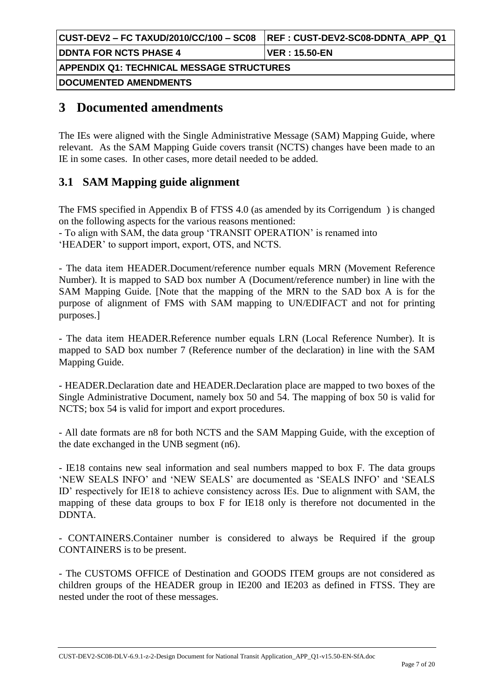| CUST-DEV2 – FC TAXUD/2010/CC/100 – SC08   | <b>IREF: CUST-DEV2-SC08-DDNTA APP Q1</b> |
|-------------------------------------------|------------------------------------------|
| <b>DDNTA FOR NCTS PHASE 4</b>             | VER : 15.50-EN                           |
| APPENDIX Q1: TECHNICAL MESSAGE STRUCTURES |                                          |
| <b> DOCUMENTED AMENDMENTS </b>            |                                          |

## **3 Documented amendments**

The IEs were aligned with the Single Administrative Message (SAM) Mapping Guide, where relevant. As the SAM Mapping Guide covers transit (NCTS) changes have been made to an IE in some cases. In other cases, more detail needed to be added.

## **3.1 SAM Mapping guide alignment**

The FMS specified in Appendix B of FTSS 4.0 (as amended by its Corrigendum ) is changed on the following aspects for the various reasons mentioned:

- To align with SAM, the data group "TRANSIT OPERATION" is renamed into "HEADER" to support import, export, OTS, and NCTS.

- The data item HEADER.Document/reference number equals MRN (Movement Reference Number). It is mapped to SAD box number A (Document/reference number) in line with the SAM Mapping Guide. [Note that the mapping of the MRN to the SAD box A is for the purpose of alignment of FMS with SAM mapping to UN/EDIFACT and not for printing purposes.]

- The data item HEADER.Reference number equals LRN (Local Reference Number). It is mapped to SAD box number 7 (Reference number of the declaration) in line with the SAM Mapping Guide.

- HEADER.Declaration date and HEADER.Declaration place are mapped to two boxes of the Single Administrative Document, namely box 50 and 54. The mapping of box 50 is valid for NCTS; box 54 is valid for import and export procedures.

- All date formats are n8 for both NCTS and the SAM Mapping Guide, with the exception of the date exchanged in the UNB segment (n6).

- IE18 contains new seal information and seal numbers mapped to box F. The data groups "NEW SEALS INFO" and "NEW SEALS" are documented as "SEALS INFO" and "SEALS ID" respectively for IE18 to achieve consistency across IEs. Due to alignment with SAM, the mapping of these data groups to box F for IE18 only is therefore not documented in the DDNTA.

- CONTAINERS.Container number is considered to always be Required if the group CONTAINERS is to be present.

- The CUSTOMS OFFICE of Destination and GOODS ITEM groups are not considered as children groups of the HEADER group in IE200 and IE203 as defined in FTSS. They are nested under the root of these messages.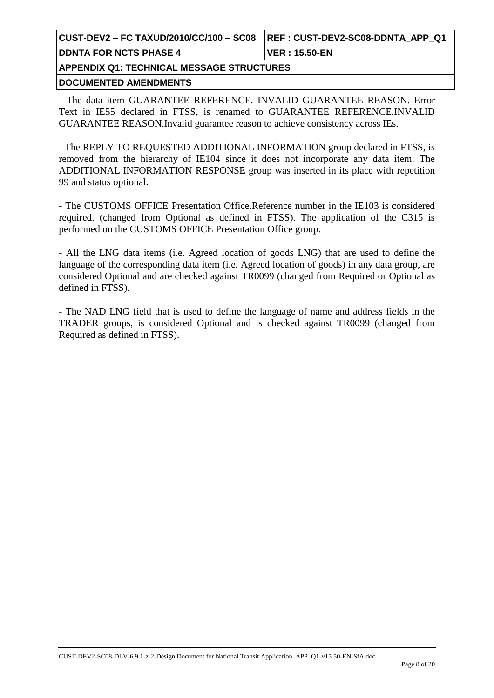| CUST-DEV2 – FC TAXUD/2010/CC/100 – SC08    REF : CUST-DEV2-SC08-DDNTA  APP  Q1 |                 |  |
|--------------------------------------------------------------------------------|-----------------|--|
| <b>DDNTA FOR NCTS PHASE 4</b>                                                  | ⊺VER : 15.50-EN |  |
| APPENDIX Q1: TECHNICAL MESSAGE STRUCTURES                                      |                 |  |

**DOCUMENTED AMENDMENTS**

- The data item GUARANTEE REFERENCE. INVALID GUARANTEE REASON. Error Text in IE55 declared in FTSS, is renamed to GUARANTEE REFERENCE.INVALID GUARANTEE REASON.Invalid guarantee reason to achieve consistency across IEs.

- The REPLY TO REQUESTED ADDITIONAL INFORMATION group declared in FTSS, is removed from the hierarchy of IE104 since it does not incorporate any data item. The ADDITIONAL INFORMATION RESPONSE group was inserted in its place with repetition 99 and status optional.

- The CUSTOMS OFFICE Presentation Office.Reference number in the IE103 is considered required. (changed from Optional as defined in FTSS). The application of the C315 is performed on the CUSTOMS OFFICE Presentation Office group.

- All the LNG data items (i.e. Agreed location of goods LNG) that are used to define the language of the corresponding data item (i.e. Agreed location of goods) in any data group, are considered Optional and are checked against TR0099 (changed from Required or Optional as defined in FTSS).

- The NAD LNG field that is used to define the language of name and address fields in the TRADER groups, is considered Optional and is checked against TR0099 (changed from Required as defined in FTSS).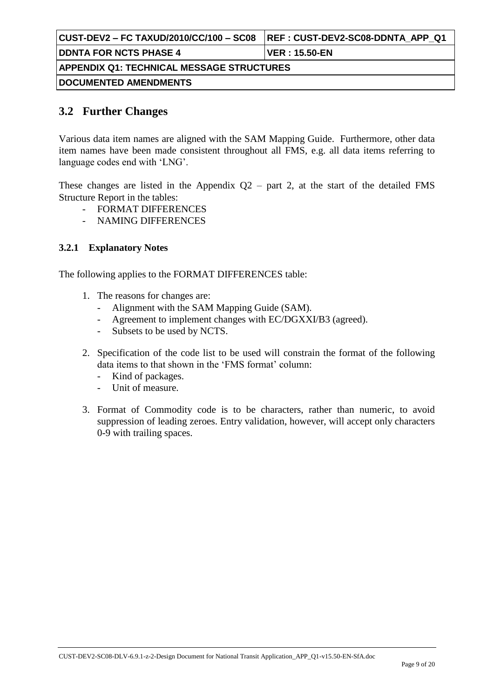| CUST-DEV2 – FC TAXUD/2010/CC/100 – SC08   | <b>REF: CUST-DEV2-SC08-DDNTA APP Q1</b> |  |
|-------------------------------------------|-----------------------------------------|--|
| <b>DDNTA FOR NCTS PHASE 4</b>             | <b>VER</b> : 15.50-EN                   |  |
| APPENDIX Q1: TECHNICAL MESSAGE STRUCTURES |                                         |  |
| <b> DOCUMENTED AMENDMENTS </b>            |                                         |  |

### **3.2 Further Changes**

Various data item names are aligned with the SAM Mapping Guide. Furthermore, other data item names have been made consistent throughout all FMS, e.g. all data items referring to language codes end with "LNG".

These changes are listed in the Appendix  $Q2$  – part 2, at the start of the detailed FMS Structure Report in the tables:

- FORMAT DIFFERENCES
- NAMING DIFFERENCES

#### **3.2.1 Explanatory Notes**

The following applies to the FORMAT DIFFERENCES table:

- 1. The reasons for changes are:
	- Alignment with the SAM Mapping Guide (SAM).
	- Agreement to implement changes with EC/DGXXI/B3 (agreed).
	- Subsets to be used by NCTS.
- 2. Specification of the code list to be used will constrain the format of the following data items to that shown in the 'FMS format' column:
	- Kind of packages.
	- Unit of measure.
- 3. Format of Commodity code is to be characters, rather than numeric, to avoid suppression of leading zeroes. Entry validation, however, will accept only characters 0-9 with trailing spaces.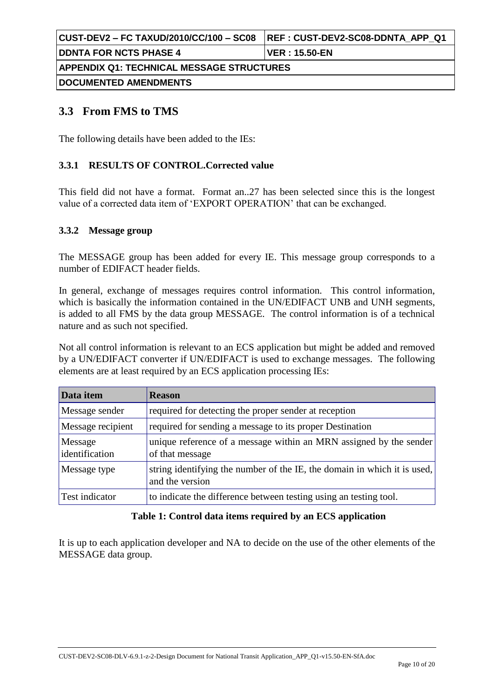| CUST-DEV2 – FC TAXUD/2010/CC/100 – SC08   | REF : CUST-DEV2-SC08-DDNTA_APP_Q1 |  |  |
|-------------------------------------------|-----------------------------------|--|--|
| <b>DDNTA FOR NCTS PHASE 4</b>             | ⊺VER : 15.50-EN                   |  |  |
| APPENDIX Q1: TECHNICAL MESSAGE STRUCTURES |                                   |  |  |
| DOCUMENTED AMENDMENTS                     |                                   |  |  |

## **3.3 From FMS to TMS**

The following details have been added to the IEs:

#### **3.3.1 RESULTS OF CONTROL.Corrected value**

This field did not have a format. Format an..27 has been selected since this is the longest value of a corrected data item of "EXPORT OPERATION" that can be exchanged.

#### **3.3.2 Message group**

The MESSAGE group has been added for every IE. This message group corresponds to a number of EDIFACT header fields.

In general, exchange of messages requires control information. This control information, which is basically the information contained in the UN/EDIFACT UNB and UNH segments, is added to all FMS by the data group MESSAGE. The control information is of a technical nature and as such not specified.

Not all control information is relevant to an ECS application but might be added and removed by a UN/EDIFACT converter if UN/EDIFACT is used to exchange messages. The following elements are at least required by an ECS application processing IEs:

| Data item                 | <b>Reason</b>                                                                               |
|---------------------------|---------------------------------------------------------------------------------------------|
| Message sender            | required for detecting the proper sender at reception                                       |
| Message recipient         | required for sending a message to its proper Destination                                    |
| Message<br>identification | unique reference of a message within an MRN assigned by the sender<br>of that message       |
| Message type              | string identifying the number of the IE, the domain in which it is used,<br>and the version |
| Test indicator            | to indicate the difference between testing using an testing tool.                           |

#### **Table 1: Control data items required by an ECS application**

It is up to each application developer and NA to decide on the use of the other elements of the MESSAGE data group.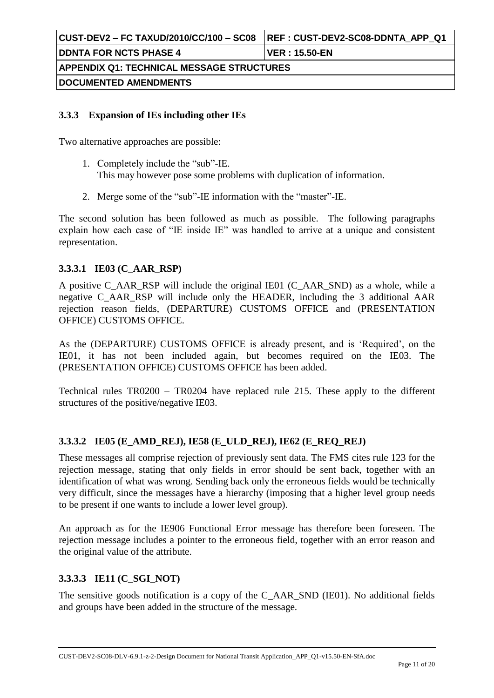#### **3.3.3 Expansion of IEs including other IEs**

Two alternative approaches are possible:

- 1. Completely include the "sub"-IE. This may however pose some problems with duplication of information.
- 2. Merge some of the "sub"-IE information with the "master"-IE.

The second solution has been followed as much as possible. The following paragraphs explain how each case of "IE inside IE" was handled to arrive at a unique and consistent representation.

#### **3.3.3.1 IE03 (C\_AAR\_RSP)**

A positive C\_AAR\_RSP will include the original IE01 (C\_AAR\_SND) as a whole, while a negative C\_AAR\_RSP will include only the HEADER, including the 3 additional AAR rejection reason fields, (DEPARTURE) CUSTOMS OFFICE and (PRESENTATION OFFICE) CUSTOMS OFFICE.

As the (DEPARTURE) CUSTOMS OFFICE is already present, and is "Required", on the IE01, it has not been included again, but becomes required on the IE03. The (PRESENTATION OFFICE) CUSTOMS OFFICE has been added.

Technical rules TR0200 – TR0204 have replaced rule 215. These apply to the different structures of the positive/negative IE03.

#### **3.3.3.2 IE05 (E\_AMD\_REJ), IE58 (E\_ULD\_REJ), IE62 (E\_REQ\_REJ)**

These messages all comprise rejection of previously sent data. The FMS cites rule 123 for the rejection message, stating that only fields in error should be sent back, together with an identification of what was wrong. Sending back only the erroneous fields would be technically very difficult, since the messages have a hierarchy (imposing that a higher level group needs to be present if one wants to include a lower level group).

An approach as for the IE906 Functional Error message has therefore been foreseen. The rejection message includes a pointer to the erroneous field, together with an error reason and the original value of the attribute.

#### **3.3.3.3 IE11 (C\_SGI\_NOT)**

The sensitive goods notification is a copy of the C\_AAR\_SND (IE01). No additional fields and groups have been added in the structure of the message.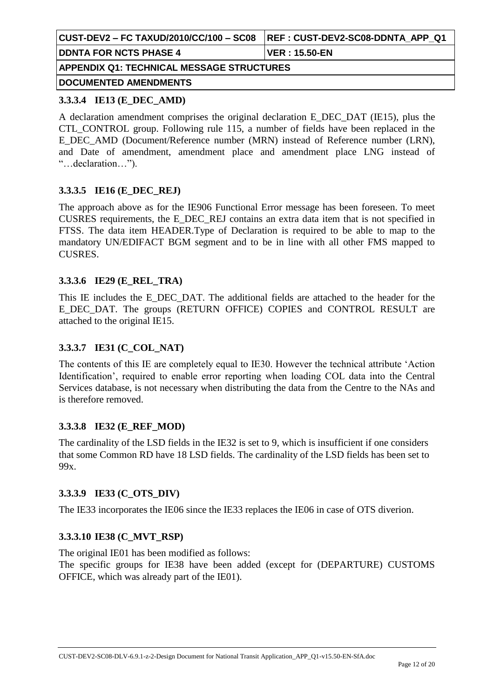|                                                  | REF : CUST-DEV2-SC08-DDNTA_APP_Q1 |  |  |
|--------------------------------------------------|-----------------------------------|--|--|
| <b>DDNTA FOR NCTS PHASE 4</b>                    | <b>VER</b> : 15.50-EN             |  |  |
| <b>APPENDIX Q1: TECHNICAL MESSAGE STRUCTURES</b> |                                   |  |  |
| DOCUMENTED AMENDMENTS                            |                                   |  |  |

#### **3.3.3.4 IE13 (E\_DEC\_AMD)**

A declaration amendment comprises the original declaration E\_DEC\_DAT (IE15), plus the CTL\_CONTROL group. Following rule 115, a number of fields have been replaced in the E\_DEC\_AMD (Document/Reference number (MRN) instead of Reference number (LRN), and Date of amendment, amendment place and amendment place LNG instead of "…declaration…").

#### **3.3.3.5 IE16 (E\_DEC\_REJ)**

The approach above as for the IE906 Functional Error message has been foreseen. To meet CUSRES requirements, the E\_DEC\_REJ contains an extra data item that is not specified in FTSS. The data item HEADER.Type of Declaration is required to be able to map to the mandatory UN/EDIFACT BGM segment and to be in line with all other FMS mapped to CUSRES.

#### **3.3.3.6 IE29 (E\_REL\_TRA)**

This IE includes the E\_DEC\_DAT. The additional fields are attached to the header for the E\_DEC\_DAT. The groups (RETURN OFFICE) COPIES and CONTROL RESULT are attached to the original IE15.

#### **3.3.3.7 IE31 (C\_COL\_NAT)**

The contents of this IE are completely equal to IE30. However the technical attribute "Action Identification", required to enable error reporting when loading COL data into the Central Services database, is not necessary when distributing the data from the Centre to the NAs and is therefore removed.

### **3.3.3.8 IE32 (E\_REF\_MOD)**

The cardinality of the LSD fields in the IE32 is set to 9, which is insufficient if one considers that some Common RD have 18 LSD fields. The cardinality of the LSD fields has been set to 99x.

#### **3.3.3.9 IE33 (C\_OTS\_DIV)**

The IE33 incorporates the IE06 since the IE33 replaces the IE06 in case of OTS diverion.

#### **3.3.3.10 IE38 (C\_MVT\_RSP)**

The original IE01 has been modified as follows: The specific groups for IE38 have been added (except for (DEPARTURE) CUSTOMS OFFICE, which was already part of the IE01).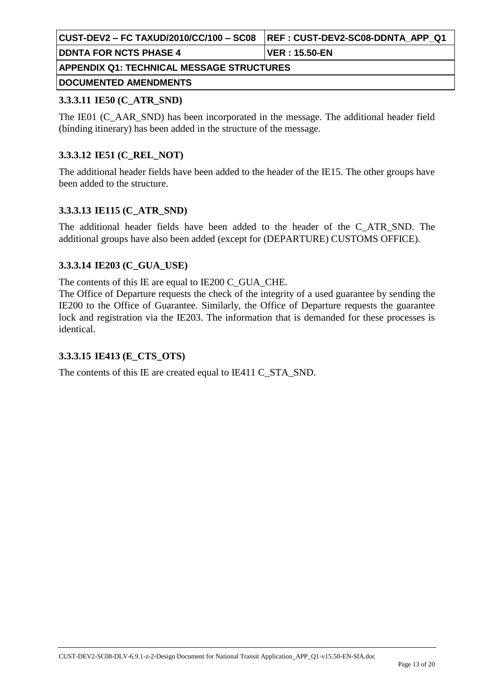| CUST-DEV2 – FC TAXUD/2010/CC/100 – SC08    REF : CUST-DEV2-SC08-DDNTA  APP  Q1 |              |  |  |
|--------------------------------------------------------------------------------|--------------|--|--|
| <b>IDDNTA FOR NCTS PHASE 4</b>                                                 | VER:15.50-EN |  |  |
| APPENDIX Q1: TECHNICAL MESSAGE STRUCTURES                                      |              |  |  |
| <b>DOCUMENTED AMENDMENTS</b>                                                   |              |  |  |

#### **3.3.3.11 IE50 (C\_ATR\_SND)**

The IE01 (C\_AAR\_SND) has been incorporated in the message. The additional header field (binding itinerary) has been added in the structure of the message.

#### **3.3.3.12 IE51 (C\_REL\_NOT)**

The additional header fields have been added to the header of the IE15. The other groups have been added to the structure.

#### **3.3.3.13 IE115 (C\_ATR\_SND)**

The additional header fields have been added to the header of the C\_ATR\_SND. The additional groups have also been added (except for (DEPARTURE) CUSTOMS OFFICE).

#### **3.3.3.14 IE203 (C\_GUA\_USE)**

The contents of this IE are equal to IE200 C\_GUA\_CHE.

The Office of Departure requests the check of the integrity of a used guarantee by sending the IE200 to the Office of Guarantee. Similarly, the Office of Departure requests the guarantee lock and registration via the IE203. The information that is demanded for these processes is identical.

#### **3.3.3.15 IE413 (E\_CTS\_OTS)**

The contents of this IE are created equal to IE411 C\_STA\_SND.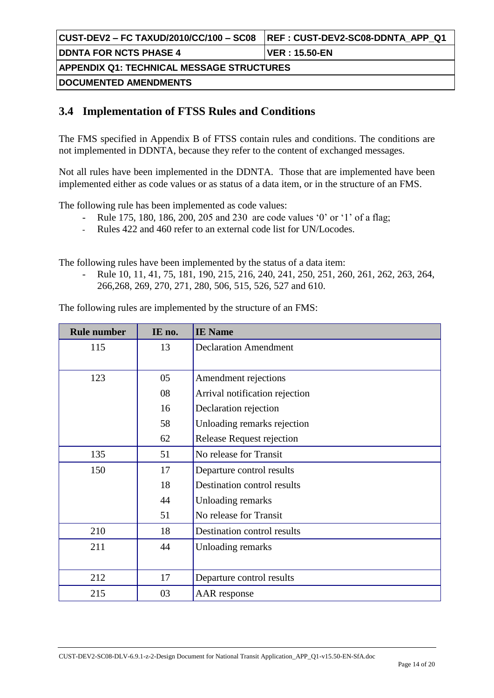| CUST-DEV2 – FC TAXUD/2010/CC/100 – SC08          | <b>REF: CUST-DEV2-SC08-DDNTA APP Q1</b> |  |  |
|--------------------------------------------------|-----------------------------------------|--|--|
| <b>DDNTA FOR NCTS PHASE 4</b>                    | <b>IVER : 15.50-EN</b>                  |  |  |
| <b>APPENDIX Q1: TECHNICAL MESSAGE STRUCTURES</b> |                                         |  |  |
| <b> DOCUMENTED AMENDMENTS </b>                   |                                         |  |  |

## **3.4 Implementation of FTSS Rules and Conditions**

The FMS specified in Appendix B of FTSS contain rules and conditions. The conditions are not implemented in DDNTA, because they refer to the content of exchanged messages.

Not all rules have been implemented in the DDNTA. Those that are implemented have been implemented either as code values or as status of a data item, or in the structure of an FMS.

The following rule has been implemented as code values:

- Rule 175, 180, 186, 200, 205 and 230 are code values '0' or '1' of a flag;
- Rules 422 and 460 refer to an external code list for UN/Locodes.

The following rules have been implemented by the status of a data item:

- Rule 10, 11, 41, 75, 181, 190, 215, 216, 240, 241, 250, 251, 260, 261, 262, 263, 264, 266,268, 269, 270, 271, 280, 506, 515, 526, 527 and 610.

The following rules are implemented by the structure of an FMS:

| <b>Rule number</b> | IE no. | <b>IE</b> Name                 |
|--------------------|--------|--------------------------------|
| 115                | 13     | <b>Declaration Amendment</b>   |
|                    |        |                                |
| 123                | 05     | Amendment rejections           |
|                    | 08     | Arrival notification rejection |
|                    | 16     | Declaration rejection          |
|                    | 58     | Unloading remarks rejection    |
|                    | 62     | Release Request rejection      |
| 135                | 51     | No release for Transit         |
| 150                | 17     | Departure control results      |
|                    | 18     | Destination control results    |
|                    | 44     | Unloading remarks              |
|                    | 51     | No release for Transit         |
| 210                | 18     | Destination control results    |
| 211                | 44     | Unloading remarks              |
|                    |        |                                |
| 212                | 17     | Departure control results      |
| 215                | 03     | AAR response                   |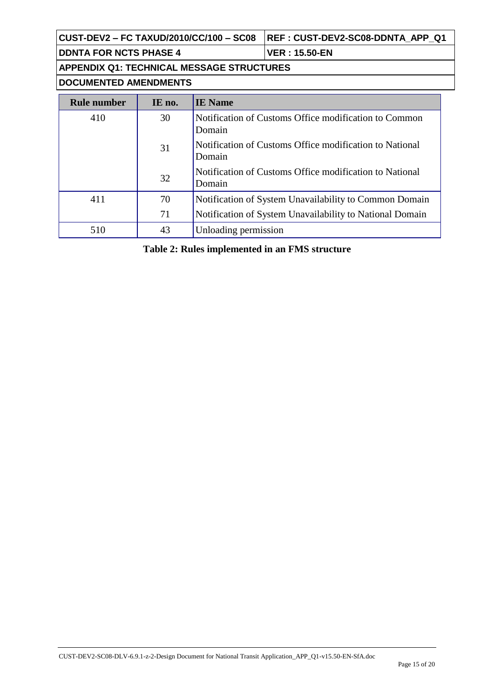**CUST-DEV2 – FC TAXUD/2010/CC/100 – SC08 REF : CUST-DEV2-SC08-DDNTA\_APP\_Q1**

**DDNTA FOR NCTS PHASE 4 VER : 15.50-EN**

**APPENDIX Q1: TECHNICAL MESSAGE STRUCTURES**

**DOCUMENTED AMENDMENTS**

| <b>Rule number</b> | IE no. | <b>IE</b> Name                                                    |
|--------------------|--------|-------------------------------------------------------------------|
| 410                | 30     | Notification of Customs Office modification to Common<br>Domain   |
|                    | 31     | Notification of Customs Office modification to National<br>Domain |
|                    | 32     | Notification of Customs Office modification to National<br>Domain |
| 411                | 70     | Notification of System Unavailability to Common Domain            |
|                    | 71     | Notification of System Unavailability to National Domain          |
| 510                | 43     | Unloading permission                                              |

**Table 2: Rules implemented in an FMS structure**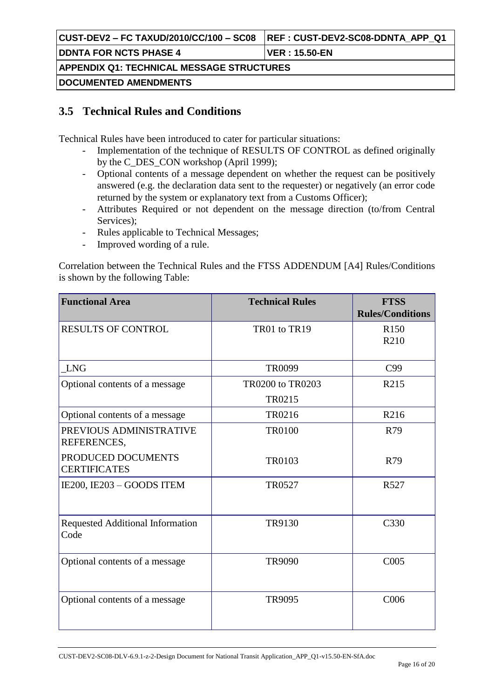|                                                  | <b>REF: CUST-DEV2-SC08-DDNTA APP Q1</b> |  |
|--------------------------------------------------|-----------------------------------------|--|
| <b>IDDNTA FOR NCTS PHASE 4</b>                   | VER : 15.50-EN                          |  |
| <b>APPENDIX Q1: TECHNICAL MESSAGE STRUCTURES</b> |                                         |  |
| <b>DOCUMENTED AMENDMENTS</b>                     |                                         |  |

## **3.5 Technical Rules and Conditions**

Technical Rules have been introduced to cater for particular situations:

- Implementation of the technique of RESULTS OF CONTROL as defined originally by the C\_DES\_CON workshop (April 1999);
- Optional contents of a message dependent on whether the request can be positively answered (e.g. the declaration data sent to the requester) or negatively (an error code returned by the system or explanatory text from a Customs Officer);
- Attributes Required or not dependent on the message direction (to/from Central Services);
- Rules applicable to Technical Messages;
- Improved wording of a rule.

Correlation between the Technical Rules and the FTSS ADDENDUM [A4] Rules/Conditions is shown by the following Table:

| <b>Functional Area</b>                          | <b>Technical Rules</b>     | <b>FTSS</b><br><b>Rules/Conditions</b> |
|-------------------------------------------------|----------------------------|----------------------------------------|
| <b>RESULTS OF CONTROL</b>                       | TR01 to TR19               | R <sub>150</sub><br>R210               |
| <b>LNG</b>                                      | <b>TR0099</b>              | C99                                    |
| Optional contents of a message                  | TR0200 to TR0203<br>TR0215 | R215                                   |
| Optional contents of a message                  | TR0216                     | R216                                   |
| PREVIOUS ADMINISTRATIVE<br>REFERENCES,          | <b>TR0100</b>              | R79                                    |
| PRODUCED DOCUMENTS<br><b>CERTIFICATES</b>       | <b>TR0103</b>              | R79                                    |
| IE200, IE203 - GOODS ITEM                       | <b>TR0527</b>              | R527                                   |
| <b>Requested Additional Information</b><br>Code | TR9130                     | C330                                   |
| Optional contents of a message                  | <b>TR9090</b>              | C <sub>005</sub>                       |
| Optional contents of a message                  | <b>TR9095</b>              | C006                                   |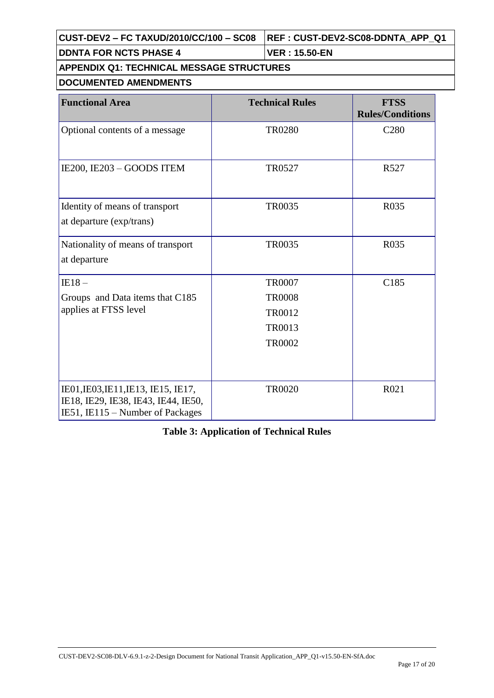| CUST-DEV2 - FC TAXUD/2010/CC/100 - SC08   REF : CUST-DEV2-SC08-DDNTA_APP_Q1 |  |
|-----------------------------------------------------------------------------|--|
|-----------------------------------------------------------------------------|--|

**DDNTA FOR NCTS PHASE 4 VER : 15.50-EN**

## **APPENDIX Q1: TECHNICAL MESSAGE STRUCTURES**

### **DOCUMENTED AMENDMENTS**

| <b>Functional Area</b>                                                                                         | <b>Technical Rules</b> | <b>FTSS</b><br><b>Rules/Conditions</b> |
|----------------------------------------------------------------------------------------------------------------|------------------------|----------------------------------------|
| Optional contents of a message                                                                                 | <b>TR0280</b>          | C <sub>280</sub>                       |
| IE200, IE203 - GOODS ITEM                                                                                      | <b>TR0527</b>          | R <sub>527</sub>                       |
| Identity of means of transport<br>at departure (exp/trans)                                                     | <b>TR0035</b>          | R035                                   |
| Nationality of means of transport<br>at departure                                                              | <b>TR0035</b>          | R035                                   |
| $IE18-$                                                                                                        | <b>TR0007</b>          | C185                                   |
| Groups and Data items that C185                                                                                | <b>TR0008</b>          |                                        |
| applies at FTSS level                                                                                          | <b>TR0012</b>          |                                        |
|                                                                                                                | <b>TR0013</b>          |                                        |
|                                                                                                                | <b>TR0002</b>          |                                        |
| IE01, IE03, IE11, IE13, IE15, IE17,<br>IE18, IE29, IE38, IE43, IE44, IE50,<br>IE51, IE115 – Number of Packages | <b>TR0020</b>          | R021                                   |

### **Table 3: Application of Technical Rules**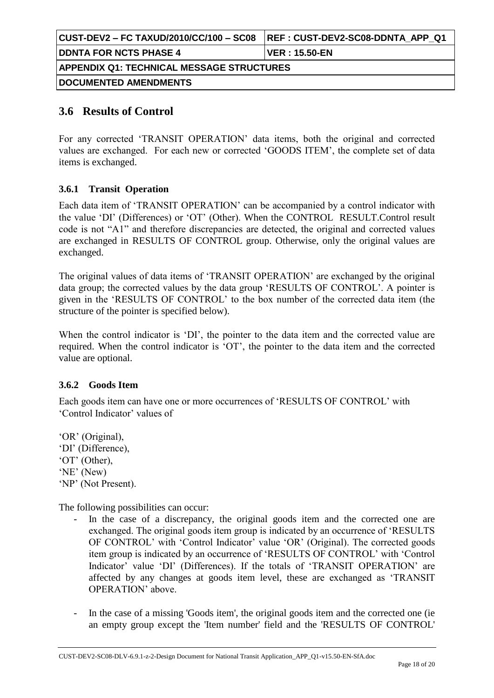| CUST-DEV2 – FC TAXUD/2010/CC/100 – SC08          | <b>REF: CUST-DEV2-SC08-DDNTA APP Q1</b> |  |  |
|--------------------------------------------------|-----------------------------------------|--|--|
| <b>IDDNTA FOR NCTS PHASE 4</b>                   | <b>VER : 15.50-EN</b>                   |  |  |
| <b>APPENDIX Q1: TECHNICAL MESSAGE STRUCTURES</b> |                                         |  |  |
| <b>DOCUMENTED AMENDMENTS</b>                     |                                         |  |  |

## **3.6 Results of Control**

For any corrected "TRANSIT OPERATION" data items, both the original and corrected values are exchanged. For each new or corrected "GOODS ITEM", the complete set of data items is exchanged.

#### **3.6.1 Transit Operation**

Each data item of "TRANSIT OPERATION" can be accompanied by a control indicator with the value "DI" (Differences) or "OT" (Other). When the CONTROL RESULT.Control result code is not "A1" and therefore discrepancies are detected, the original and corrected values are exchanged in RESULTS OF CONTROL group. Otherwise, only the original values are exchanged.

The original values of data items of "TRANSIT OPERATION" are exchanged by the original data group; the corrected values by the data group "RESULTS OF CONTROL". A pointer is given in the "RESULTS OF CONTROL" to the box number of the corrected data item (the structure of the pointer is specified below).

When the control indicator is 'DI', the pointer to the data item and the corrected value are required. When the control indicator is "OT", the pointer to the data item and the corrected value are optional.

#### **3.6.2 Goods Item**

Each goods item can have one or more occurrences of "RESULTS OF CONTROL" with "Control Indicator" values of

"OR" (Original), 'DI' (Difference), "OT" (Other), "NE" (New) 'NP' (Not Present).

The following possibilities can occur:

- In the case of a discrepancy, the original goods item and the corrected one are exchanged. The original goods item group is indicated by an occurrence of "RESULTS OF CONTROL' with 'Control Indicator' value 'OR' (Original). The corrected goods item group is indicated by an occurrence of "RESULTS OF CONTROL" with "Control Indicator' value 'DI' (Differences). If the totals of 'TRANSIT OPERATION' are affected by any changes at goods item level, these are exchanged as "TRANSIT OPERATION" above.
- In the case of a missing 'Goods item', the original goods item and the corrected one (ie an empty group except the 'Item number' field and the 'RESULTS OF CONTROL'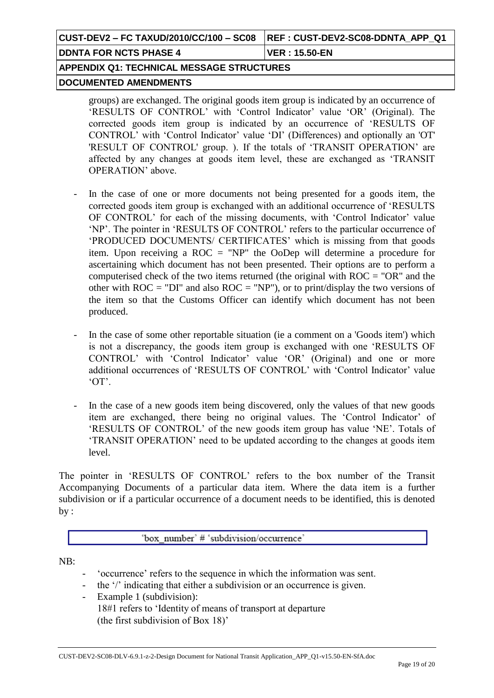|                                           | <b>REF: CUST-DEV2-SC08-DDNTA APP Q1</b> |
|-------------------------------------------|-----------------------------------------|
| <b>IDDNTA FOR NCTS PHASE 4</b>            | <b>VER</b> : 15.50-EN                   |
| APPENDIX Q1: TECHNICAL MESSAGE STRUCTURES |                                         |
| <b>DOCUMENTED AMENDMENTS</b>              |                                         |

groups) are exchanged. The original goods item group is indicated by an occurrence of 'RESULTS OF CONTROL' with 'Control Indicator' value 'OR' (Original). The corrected goods item group is indicated by an occurrence of "RESULTS OF CONTROL" with "Control Indicator" value "DI" (Differences) and optionally an 'OT' 'RESULT OF CONTROL' group. ). If the totals of "TRANSIT OPERATION" are affected by any changes at goods item level, these are exchanged as "TRANSIT OPERATION" above.

- In the case of one or more documents not being presented for a goods item, the corrected goods item group is exchanged with an additional occurrence of "RESULTS OF CONTROL' for each of the missing documents, with 'Control Indicator' value "NP". The pointer in "RESULTS OF CONTROL" refers to the particular occurrence of "PRODUCED DOCUMENTS/ CERTIFICATES" which is missing from that goods item. Upon receiving a ROC = "NP" the OoDep will determine a procedure for ascertaining which document has not been presented. Their options are to perform a computerised check of the two items returned (the original with ROC = "OR" and the other with  $ROC = "DI"$  and also  $ROC = "NP")$ , or to print/display the two versions of the item so that the Customs Officer can identify which document has not been produced.
- In the case of some other reportable situation (ie a comment on a 'Goods item') which is not a discrepancy, the goods item group is exchanged with one "RESULTS OF CONTROL" with "Control Indicator" value "OR" (Original) and one or more additional occurrences of "RESULTS OF CONTROL" with "Control Indicator" value  $'OT'$ .
- In the case of a new goods item being discovered, only the values of that new goods item are exchanged, there being no original values. The 'Control Indicator' of 'RESULTS OF CONTROL' of the new goods item group has value 'NE'. Totals of "TRANSIT OPERATION" need to be updated according to the changes at goods item level.

The pointer in "RESULTS OF CONTROL" refers to the box number of the Transit Accompanying Documents of a particular data item. Where the data item is a further subdivision or if a particular occurrence of a document needs to be identified, this is denoted by :

'box number' # 'subdivision/occurrence'

NB:

- "occurrence" refers to the sequence in which the information was sent.
- the '/' indicating that either a subdivision or an occurrence is given.
- Example 1 (subdivision): 18#1 refers to "Identity of means of transport at departure (the first subdivision of Box 18)"